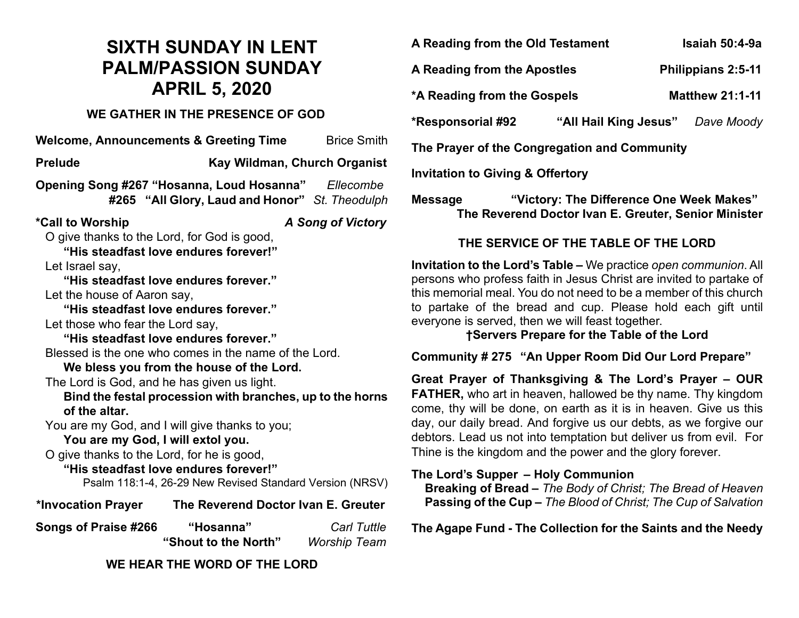# **SIXTH SUNDAY IN LENT PALM/PASSION SUNDAY APRIL 5, 2020**

### **WE GATHER IN THE PRESENCE OF GOD**

**Welcome, Announcements & Greeting Time** Brice Smith **Prelude Kay Wildman, Church Organist Opening Song #267 "Hosanna, Loud Hosanna"** *Ellecombe* **#265 "All Glory, Laud and Honor"** *St. Theodulph* **\*Call to Worship** *A Song of Victory* O give thanks to the Lord, for God is good, **"His steadfast love endures forever!"** Let Israel say, **"His steadfast love endures forever."** Let the house of Aaron say, **"His steadfast love endures forever."** Let those who fear the Lord say, **"His steadfast love endures forever."** Blessed is the one who comes in the name of the Lord. **We bless you from the house of the Lord.** The Lord is God, and he has given us light. **Bind the festal procession with branches, up to the horns of the altar.** You are my God, and I will give thanks to you; **You are my God, I will extol you.** O give thanks to the Lord, for he is good, **"His steadfast love endures forever!"** Psalm 118:1-4, 26-29 New Revised Standard Version (NRSV) **\*Invocation Prayer The Reverend Doctor Ivan E. Greuter Songs of Praise #266 "Hosanna"** *Carl Tuttle*  **"Shout to the North"** *Worship Team*

**WE HEAR THE WORD OF THE LORD**

**A Reading from the Old Testament Isaiah 50:4-9a**

**A Reading from the Apostles Philippians 2:5-11**

**\*A Reading from the Gospels Matthew 21:1-11**

**\*Responsorial #92 "All Hail King Jesus"** *Dave Moody*

**The Prayer of the Congregation and Community**

**Invitation to Giving & Offertory** 

**Message "Victory: The Difference One Week Makes" The Reverend Doctor Ivan E. Greuter, Senior Minister**

# **THE SERVICE OF THE TABLE OF THE LORD**

**Invitation to the Lord's Table –** We practice *open communion*. All persons who profess faith in Jesus Christ are invited to partake of this memorial meal. You do not need to be a member of this church to partake of the bread and cup. Please hold each gift until everyone is served, then we will feast together.

**†Servers Prepare for the Table of the Lord**

**Community # 275 "An Upper Room Did Our Lord Prepare"**

**Great Prayer of Thanksgiving & The Lord's Prayer – OUR FATHER,** who art in heaven, hallowed be thy name. Thy kingdom come, thy will be done, on earth as it is in heaven. Give us this day, our daily bread. And forgive us our debts, as we forgive our debtors. Lead us not into temptation but deliver us from evil. For Thine is the kingdom and the power and the glory forever.

#### **The Lord's Supper – Holy Communion**

 **Breaking of Bread –** *The Body of Christ; The Bread of Heaven*  **Passing of the Cup –** *The Blood of Christ; The Cup of Salvation*

**The Agape Fund - The Collection for the Saints and the Needy**